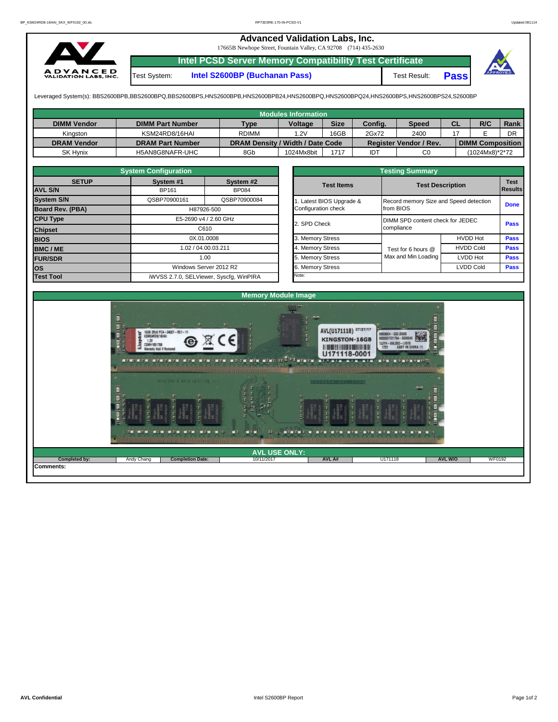## **Advanced Validation Labs, Inc.**

17665B Newhope Street, Fountain Valley, CA 92708 (714) 435-2630



**Intel PCSD Server Memory Compatibility Test Certificate**

Test System: **Intel S2600BP (Buchanan Pass)** Test Result: **Pass**



Leveraged System(s): BBS2600BPB,BBS2600BPQ,BBS2600BPS,HNS2600BPB,HNS2600BPB24,HNS2600BPQ,HNS2600BPQ24,HNS2600BPS,HNS2600BPS24,S2600BP

|                    |                         |                                  | <b>Modules Information</b> |             |         |                        |    |                         |      |
|--------------------|-------------------------|----------------------------------|----------------------------|-------------|---------|------------------------|----|-------------------------|------|
| <b>DIMM Vendor</b> | <b>DIMM Part Number</b> | <b>Type</b>                      | Voltage                    | <b>Size</b> | Config. | <b>Speed</b>           | CL | R/C                     | Rank |
| Kinaston           | KSM24RD8/16HAI          | <b>RDIMM</b>                     | 1.2V                       | 16GB        | 2Gx72   | 2400                   |    |                         | DR   |
| <b>DRAM Vendor</b> | <b>DRAM Part Number</b> | DRAM Density / Width / Date Code |                            |             |         | Register Vendor / Rev. |    | <b>DIMM Composition</b> |      |
| <b>SK Hynix</b>    | H5AN8G8NAFR-UHC         | 8Gb                              | 1024Mx8bit                 | 1717        | IDT     | C <sub>0</sub>         |    | (1024Mx8)*2*72          |      |

|                   | <b>System Configuration</b>                           |                                                       |                     | <b>Testing Summary</b>                 |                         |                  |             |  |  |  |  |  |
|-------------------|-------------------------------------------------------|-------------------------------------------------------|---------------------|----------------------------------------|-------------------------|------------------|-------------|--|--|--|--|--|
| <b>SETUP</b>      | System #1                                             | System #2                                             | <b>Test Items</b>   |                                        | <b>Test Description</b> |                  |             |  |  |  |  |  |
| <b>AVL S/N</b>    | <b>BP161</b><br><b>BP084</b>                          |                                                       |                     |                                        |                         |                  |             |  |  |  |  |  |
| <b>System S/N</b> | QSBP70900161<br>QSBP70900084<br>Latest BIOS Upgrade & |                                                       |                     | Record memory Size and Speed detection |                         |                  |             |  |  |  |  |  |
| Board Rev. (PBA)  | H87926-500                                            |                                                       | Configuration check |                                        | from BIOS               | <b>Done</b>      |             |  |  |  |  |  |
| <b>CPU Type</b>   | E5-2690 v4 / 2.60 GHz                                 | 2. SPD Check                                          |                     | DIMM SPD content check for JEDEC       |                         |                  |             |  |  |  |  |  |
| <b>Chipset</b>    |                                                       | C610                                                  |                     |                                        | compliance              | <b>Pass</b>      |             |  |  |  |  |  |
| <b>BIOS</b>       |                                                       | 0X.01.0008                                            | 3. Memory Stress    |                                        |                         | <b>HVDD Hot</b>  | <b>Pass</b> |  |  |  |  |  |
| <b>BMC/ME</b>     |                                                       | 1.02 / 04.00.03.211<br>1.00<br>Windows Server 2012 R2 |                     |                                        | Test for 6 hours @      | <b>HVDD Cold</b> | <b>Pass</b> |  |  |  |  |  |
| <b>FUR/SDR</b>    |                                                       |                                                       |                     |                                        | Max and Min Loading     | <b>LVDD Hot</b>  | <b>Pass</b> |  |  |  |  |  |
| los               |                                                       |                                                       |                     |                                        | <b>LVDD Cold</b>        |                  |             |  |  |  |  |  |
| <b>Test Tool</b>  |                                                       | iWVSS 2.7.0, SELViewer, Syscfq, WinPIRA               | Note:               |                                        |                         |                  |             |  |  |  |  |  |